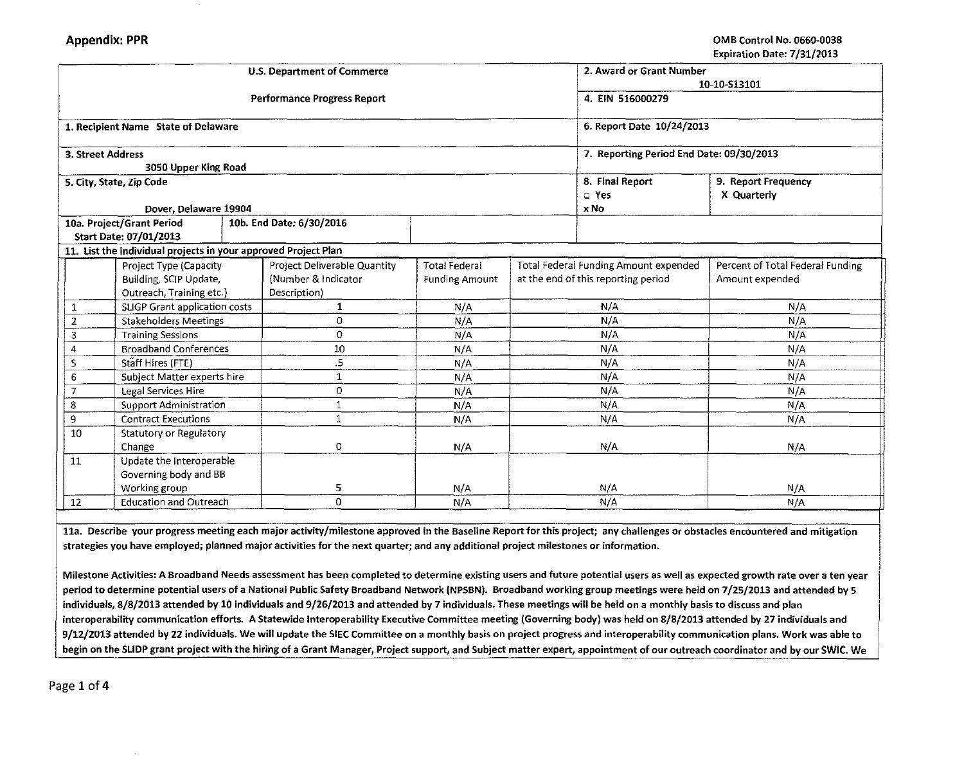|                   |                                                                |  | <b>U.S. Department of Commerce</b> |                           |                                          | 2. Award or Grant Number              |                                  |  |
|-------------------|----------------------------------------------------------------|--|------------------------------------|---------------------------|------------------------------------------|---------------------------------------|----------------------------------|--|
|                   |                                                                |  |                                    | 10-10-S13101              |                                          |                                       |                                  |  |
|                   |                                                                |  | <b>Performance Progress Report</b> | 4. EIN 516000279          |                                          |                                       |                                  |  |
|                   |                                                                |  |                                    |                           |                                          |                                       |                                  |  |
|                   | 1. Recipient Name State of Delaware                            |  |                                    | 6. Report Date 10/24/2013 |                                          |                                       |                                  |  |
|                   |                                                                |  |                                    |                           |                                          |                                       |                                  |  |
| 3. Street Address |                                                                |  |                                    |                           | 7. Reporting Period End Date: 09/30/2013 |                                       |                                  |  |
|                   | 3050 Upper King Road                                           |  |                                    |                           |                                          |                                       |                                  |  |
|                   | 5. City, State, Zip Code                                       |  |                                    |                           |                                          | 8. Final Report                       | 9. Report Frequency              |  |
|                   |                                                                |  |                                    |                           |                                          | D Yes                                 | X Quarterly                      |  |
|                   | Dover, Delaware 19904                                          |  |                                    |                           |                                          | x No                                  |                                  |  |
|                   | 10a. Project/Grant Period                                      |  | 10b. End Date: 6/30/2016           |                           |                                          |                                       |                                  |  |
|                   | Start Date: 07/01/2013                                         |  |                                    |                           |                                          |                                       |                                  |  |
|                   | 11. List the individual projects in your approved Project Plan |  |                                    |                           |                                          |                                       |                                  |  |
|                   | Project Type (Capacity                                         |  | Project Deliverable Quantity       | <b>Total Federal</b>      |                                          | Total Federal Funding Amount expended | Percent of Total Federal Funding |  |
|                   | Building, SCIP Update,                                         |  | (Number & Indicator                | <b>Funding Amount</b>     | at the end of this reporting period      |                                       | Amount expended                  |  |
|                   | Outreach, Training etc.)                                       |  | Description)                       |                           |                                          |                                       |                                  |  |
| 1                 | SLIGP Grant application costs                                  |  | 1                                  | N/A                       | N/A                                      |                                       | N/A                              |  |
| $\overline{2}$    | <b>Stakeholders Meetings</b>                                   |  | $\Omega$                           | N/A                       | N/A                                      |                                       | N/A                              |  |
| 3                 | <b>Training Sessions</b>                                       |  | 0                                  | N/A                       | N/A                                      |                                       | N/A                              |  |
| 4                 | <b>Broadband Conferences</b>                                   |  | 10                                 | N/A                       | N/A                                      |                                       | N/A                              |  |
| 5                 | Staff Hires (FTE)                                              |  | .5                                 | N/A                       | N/A                                      |                                       | N/A                              |  |
| 6                 | Subject Matter experts hire                                    |  | $\mathbf{1}$                       | N/A                       | N/A                                      |                                       | N/A                              |  |
|                   | Legal Services Hire                                            |  | 0                                  | N/A                       | N/A                                      |                                       | N/A                              |  |
| 8                 | <b>Support Administration</b>                                  |  | 1                                  | N/A                       | N/A                                      |                                       | N/A                              |  |
| 9                 | <b>Contract Executions</b>                                     |  | 1                                  | N/A                       | N/A                                      |                                       | N/A                              |  |
| 10                | Statutory or Regulatory                                        |  |                                    |                           |                                          |                                       |                                  |  |
|                   | Change                                                         |  | 0                                  | N/A                       | N/A                                      |                                       | N/A                              |  |
| 11                | Update the Interoperable                                       |  |                                    |                           |                                          |                                       |                                  |  |
|                   | Governing body and BB                                          |  |                                    |                           |                                          |                                       |                                  |  |
|                   | Working group                                                  |  | 5                                  | N/A                       | N/A                                      |                                       | N/A                              |  |
| 12                | <b>Education and Outreach</b>                                  |  | $\Omega$                           | N/A                       | N/A                                      |                                       | N/A                              |  |

lla. Describe your progress meeting each major activity/milestone approved in the Baseline Report for this project; any challenges or obstacles encountered and mitigation strategies you have employed; planned major activities for the next quarter; and any additional project milestones or information.

Milestone Activities: A Broadband Needs assessment has been completed to determine existing users and future potential users as well as expected growth rate over a ten year period to determine potential users of a National Public Safety Broadband Network (NPSBN). Broadband working group meetings were held on 7/25/2013 and attended by 5 individuals, 8/8/2013 attended by 10 individuals and 9/26/2013 and attended by 7 individuals. These meetings will be held on a monthly basis to discuss and plan interoperability communication efforts. A Statewide lnteroperability Executive Committee meeting (Governing body) was held on 8/8/2013 attended by 27 individuals and 9/12/2013 attended by 22 individuals. We will update the SIEC Committee on a monthly basis on project progress and interoperability communication plans. Work was able to begin on the SLIDP grant project with the hiring of a Grant Manager, Project support, and Subject matter expert, appointment of our outreach coordinator and by our SWIC. We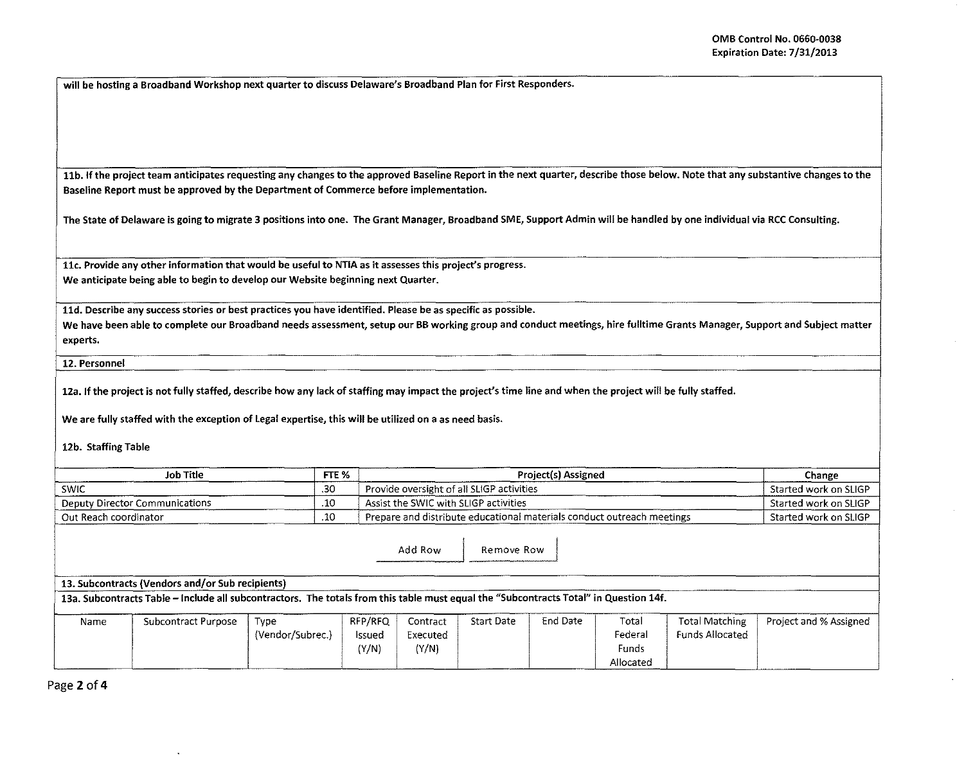will be hosting a Broadband Workshop next quarter to discuss Delaware's Broadband Plan for First Responders.

11b. If the project team anticipates requesting any changes to the approved Baseline Report in the next quarter, describe those below. Note that any substantive changes to the Baseline Report must be approved by the Department of Commerce before implementation.

The State of Delaware is going to migrate 3 positions into one. The Grant Manager, Broadband SME, Support Admin will be handled by one individual via RCC Consulting.

11c. Provide any other information that would be useful to NTIA as it assesses this project's progress. We anticipate being able to begin to develop our Website beginning next Quarter.

lld. Describe any success stories or best practices you have identified. Please be as specific as possible.

We have been able to complete our Broadband needs assessment, setup our BB working group and conduct meetings, hire fulltime Grants Manager, Support and Subject matter experts.

12. Personnel

12a. If the project is not fully staffed, describe how any lack of staffing may impact the project's time line and when the project will be fully staffed.

We are fully staffed with the exception of legal expertise, this will be utilized on a as need basis.

12b. Staffing Table

| <b>Job Title</b>               |     | Project(s) Assigned                                                      | Change                  |
|--------------------------------|-----|--------------------------------------------------------------------------|-------------------------|
| SWIC                           | .30 | Provide oversight of all SLIGP activities !                              | Started work on SLIGP   |
| Deputy Director Communications | .10 | Assist the SWIC with SLIGP activities                                    | - Started work on SLIGP |
| Out Reach coordinator          | .10 | - Prepare and distribute educational materials conduct outreach meetings | Started work on SLIGP   |

Add Row | Remove Row

## 13. Subcontracts {Vendors and/or Sub recipients)

13a. Subcontracts Table -Include all subcontractors. The totals from this table must equal the "Subcontracts Total" in Question 14f.

| Name | Subcontract Purpose | Type             | RFP/RFQ | Contract | <b>Start Date</b> | End Date | Total     | Total Matching         | Project and % Assigned |
|------|---------------------|------------------|---------|----------|-------------------|----------|-----------|------------------------|------------------------|
|      |                     | (Vendor/Subrec.) | lssued  | Executed |                   |          | Federa.   | <b>Funds Allocated</b> |                        |
|      |                     |                  | (Y/N)   | (Y/N)    |                   |          | Funds     |                        |                        |
|      |                     |                  |         |          |                   |          | Allocated |                        |                        |

Page 2 of 4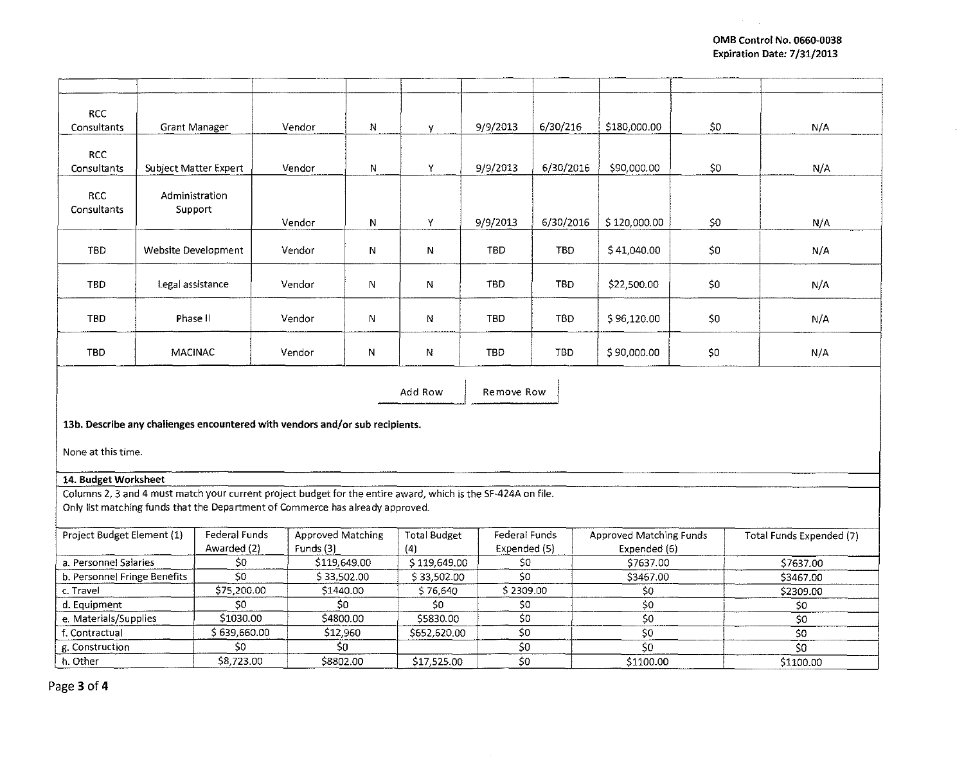$\mathcal{A}=\mathcal{A}$  .

| <b>RCC</b>                            |                       |                        |                                                                                                               |                          |                           |                                                 |            |                                |     |                          |  |
|---------------------------------------|-----------------------|------------------------|---------------------------------------------------------------------------------------------------------------|--------------------------|---------------------------|-------------------------------------------------|------------|--------------------------------|-----|--------------------------|--|
| Consultants                           | <b>Grant Manager</b>  |                        | Vendor                                                                                                        | N                        | y.                        | 9/9/2013                                        | 6/30/216   | \$180,000.00                   | \$0 | N/A                      |  |
|                                       |                       |                        |                                                                                                               |                          |                           |                                                 |            |                                |     |                          |  |
| <b>RCC</b>                            |                       |                        |                                                                                                               |                          |                           |                                                 |            |                                |     |                          |  |
| Consultants                           | Subject Matter Expert |                        | Vendor                                                                                                        | N                        | Y                         | 9/9/2013                                        | 6/30/2016  | \$90,000.00                    | \$0 | N/A                      |  |
|                                       |                       |                        |                                                                                                               |                          |                           |                                                 |            |                                |     |                          |  |
| RCC                                   | Administration        |                        |                                                                                                               |                          |                           |                                                 |            |                                |     |                          |  |
| Consultants                           | Support               |                        | Vendor                                                                                                        | N                        | Y                         | 9/9/2013                                        | 6/30/2016  | \$120,000.00                   | \$0 | N/A                      |  |
|                                       |                       |                        |                                                                                                               |                          |                           |                                                 |            |                                |     |                          |  |
| TBD                                   | Website Development   |                        | Vendor                                                                                                        | N                        | $\mathsf{N}$              | TBD                                             | <b>TBD</b> | S41,040.00                     | S0  | N/A                      |  |
|                                       |                       |                        |                                                                                                               |                          |                           |                                                 |            |                                |     |                          |  |
| <b>TBD</b>                            | Legal assistance      |                        | Vendor                                                                                                        |                          |                           | <b>TBD</b>                                      | TBD        | \$22,500.00                    | \$0 | N/A                      |  |
|                                       |                       |                        |                                                                                                               | N                        | N                         |                                                 |            |                                |     |                          |  |
|                                       |                       |                        |                                                                                                               |                          |                           |                                                 |            |                                |     |                          |  |
| TBD                                   | Phase II              |                        | Vendor                                                                                                        | N                        | N                         | <b>TBD</b>                                      | TBD        | \$96,120.00                    | 50  | N/A                      |  |
|                                       |                       |                        |                                                                                                               |                          |                           |                                                 |            |                                |     |                          |  |
| <b>TBD</b>                            | <b>MACINAC</b>        |                        | Vendor                                                                                                        | N                        | N                         | <b>TBD</b>                                      | TBD        | \$90,000.00                    | \$0 | N/A                      |  |
|                                       |                       |                        |                                                                                                               |                          |                           |                                                 |            |                                |     |                          |  |
|                                       |                       |                        |                                                                                                               |                          | Add Row                   | Remove Row                                      |            |                                |     |                          |  |
|                                       |                       |                        |                                                                                                               |                          |                           |                                                 |            |                                |     |                          |  |
|                                       |                       |                        | 13b. Describe any challenges encountered with vendors and/or sub recipients.                                  |                          |                           |                                                 |            |                                |     |                          |  |
|                                       |                       |                        |                                                                                                               |                          |                           |                                                 |            |                                |     |                          |  |
| None at this time.                    |                       |                        |                                                                                                               |                          |                           |                                                 |            |                                |     |                          |  |
|                                       |                       |                        |                                                                                                               |                          |                           |                                                 |            |                                |     |                          |  |
| 14. Budget Worksheet                  |                       |                        |                                                                                                               |                          |                           |                                                 |            |                                |     |                          |  |
|                                       |                       |                        | Columns 2, 3 and 4 must match your current project budget for the entire award, which is the SF-424A on file. |                          |                           |                                                 |            |                                |     |                          |  |
|                                       |                       |                        | Only list matching funds that the Department of Commerce has already approved.                                |                          |                           |                                                 |            |                                |     |                          |  |
|                                       |                       |                        |                                                                                                               |                          | <b>Total Budget</b>       |                                                 |            |                                |     |                          |  |
| Project Budget Element (1)            |                       | Federal Funds          |                                                                                                               | <b>Approved Matching</b> |                           | Federal Funds                                   |            | <b>Approved Matching Funds</b> |     | Total Funds Expended (7) |  |
|                                       |                       | Awarded (2)            |                                                                                                               | Funds (3)                |                           | Expended (5)                                    |            | Expended (6)                   |     |                          |  |
| a. Personnel Salaries                 |                       | \$0<br>$\overline{50}$ |                                                                                                               | \$119,649.00             |                           | \$119,649.00<br>\$0<br>$\overline{\varsigma_0}$ |            | \$7637.00                      |     | \$7637.00                |  |
| b. Personnel Fringe Benefits          |                       | \$75,200.00            |                                                                                                               | \$33,502.00              |                           | \$33,502.00<br>\$2309.00                        |            | \$3467.00                      |     | \$3467.00                |  |
| c. Travel                             |                       | \$0                    |                                                                                                               | \$1440.00                |                           | \$0                                             |            | \$0<br>50                      |     | \$2309.00                |  |
| d. Equipment<br>e. Materials/Supplies |                       | \$1030.00              |                                                                                                               | \$0<br>\$4800.00         |                           | 50                                              |            | 50                             |     | 50<br>50                 |  |
| f. Contractual                        |                       | \$639,660.00           | \$12,960                                                                                                      |                          | \$5830.00<br>\$652,620.00 | $\overline{50}$                                 |            | 50                             |     | 50                       |  |
| g. Construction                       |                       | \$0                    | \$0                                                                                                           |                          |                           | $\overline{50}$                                 |            | 50                             |     | 50                       |  |
| h. Other                              |                       | \$8,723.00             | \$8802.00                                                                                                     |                          | \$17,525.00               | 50                                              |            | \$1100.00                      |     | \$1100.00                |  |
|                                       |                       |                        |                                                                                                               |                          |                           |                                                 |            |                                |     |                          |  |